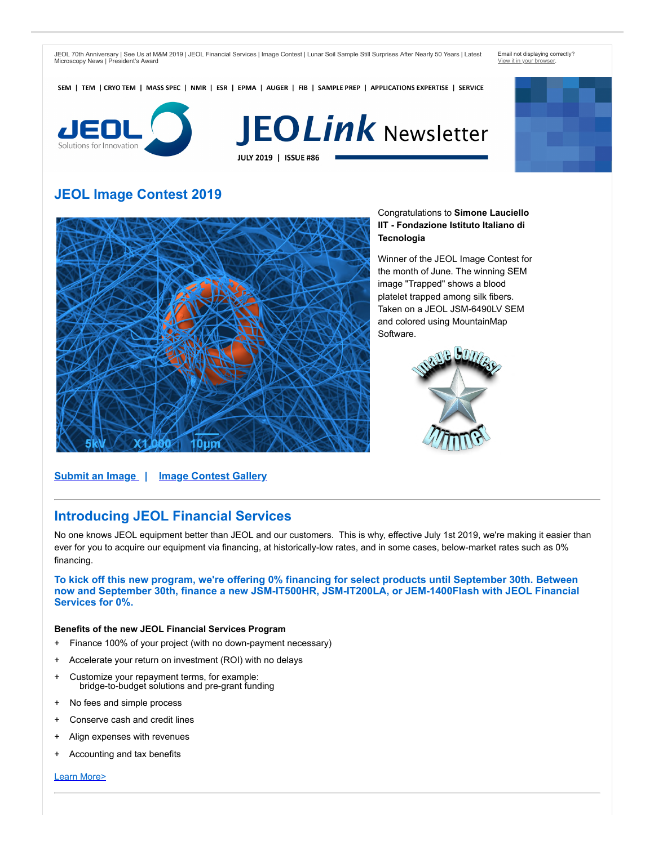JEOL 70th Anniversary | See Us at M&M 2019 | JEOL Financial Services | Image Contest | Lunar Soil Sample Still Surprises After Nearly 50 Years | Latest Microscopy News | President's Award

Email not displaying correctly? [View it in your browser.](https://go.jeolusa.com/webmail/234012/492683894/a3009d88df19bbe153a2bb3be7473ed3409664b778565db6ed0bc2b5bca8d901)

SEM | TEM | CRYO TEM | MASS SPEC | NMR | ESR | EPMA | AUGER | FIB | SAMPLE PREP | APPLICATIONS EXPERTISE | SERVICE



# **JEOLink Newsletter** JULY 2019 | ISSUE #86

# **JEOL Image Contest 2019**



Congratulations to **Simone Lauciello IIT - Fondazione Istituto Italiano di Tecnologia** 

Winner of the JEOL Image Contest for the month of June. The winning SEM image "Trapped" shows a blood platelet trapped among silk fibers. Taken on a JEOL JSM-6490LV SEM and colored using MountainMap Software.



**[Submit an Image](https://go.jeolusa.com/e/234012/ME-Misc-JEOL-USA-Image-Contest/5d3v31/492683894?h=Z_6vr3Yir99sstbuXny47YcQKLyyztiA_kDnuezYiLM) | [Image Contest Gallery](https://go.jeolusa.com/e/234012/-Image-Contest-Entries-Winners/5d3v33/492683894?h=Z_6vr3Yir99sstbuXny47YcQKLyyztiA_kDnuezYiLM)**

### **Introducing JEOL Financial Services**

No one knows JEOL equipment better than JEOL and our customers. This is why, effective July 1st 2019, we're making it easier than ever for you to acquire our equipment via financing, at historically-low rates, and in some cases, below-market rates such as 0% financing.

**To kick off this new program, we're offering 0% financing for select products until September 30th. Between now and September 30th, finance a new JSM-IT500HR, JSM-IT200LA, or JEM-1400Flash with JEOL Financial Services for 0%.**

#### **Benefits of the new JEOL Financial Services Program**

- + Finance 100% of your project (with no down-payment necessary)
- + Accelerate your return on investment (ROI) with no delays
- + Customize your repayment terms, for example: bridge-to-budget solutions and pre-grant funding
- + No fees and simple process
- Conserve cash and credit lines
- + Align expenses with revenues
- + Accounting and tax benefits

[Learn More>](https://go.jeolusa.com/e/234012/UPPORT-JEOL-Financial-Services/5d3v35/492683894?h=Z_6vr3Yir99sstbuXny47YcQKLyyztiA_kDnuezYiLM)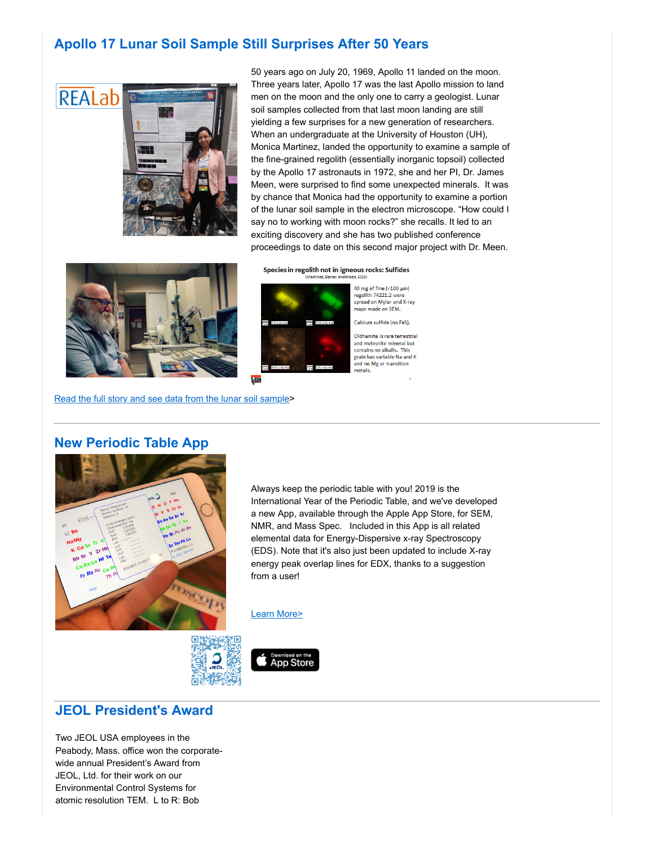# **Apollo 17 Lunar Soil Sample Still Surprises After 50 Years**



50 years ago on July 20, 1969, Apollo 11 landed on the moon. Three years later, Apollo 17 was the last Apollo mission to land men on the moon and the only one to carry a geologist. Lunar soil samples collected from that last moon landing are still yielding a few surprises for a new generation of researchers. When an undergraduate at the University of Houston (UH), Monica Martinez, landed the opportunity to examine a sample of the fine-grained regolith (essentially inorganic topsoil) collected by the Apollo 17 astronauts in 1972, she and her PI, Dr. James Meen, were surprised to find some unexpected minerals. It was by chance that Monica had the opportunity to examine a portion of the lunar soil sample in the electron microscope. "How could I say no to working with moon rocks?" she recalls. It led to an exciting discovery and she has two published conference proceedings to date on this second major project with Dr. Meen.



Species in regolith not in igneous rocks: Sulfides



40 mg of fine  $\left( <100 \text{ }\mu\text{m} \right)$ regolith 74221,2 wer spread on Mylar and X-ray maps made on SEM.

Calcium sulfide (no FeS).

Oldhamite is rare terrestrial and meteorite mineral but contains no alkalis. This grain has variable Na and K and no Mg or transition metals.

[Read the full story and see data from the lunar soil sample](https://go.jeolusa.com/e/234012/S-REALab-University-of-Houston/5d3v37/492683894?h=Z_6vr3Yir99sstbuXny47YcQKLyyztiA_kDnuezYiLM)>

#### **New Periodic Table App**



Always keep the periodic table with you! 2019 is the International Year of the Periodic Table, and we've developed a new App, available through the Apple App Store, for SEM, NMR, and Mass Spec. Included in this App is all related elemental data for Energy-Dispersive x-ray Spectroscopy (EDS). Note that it's also just been updated to include X-ray energy peak overlap lines for EDX, thanks to a suggestion from a user!

[Learn More>](https://go.jeolusa.com/e/234012/CES-JEOL-Posters-and-Calendars/5d3v3c/492683894?h=Z_6vr3Yir99sstbuXny47YcQKLyyztiA_kDnuezYiLM)

**App Store** 



#### **JEOL President's Award**

Two JEOL USA employees in the Peabody, Mass. office won the corporatewide annual President's Award from JEOL, Ltd. for their work on our Environmental Control Systems for atomic resolution TEM. L to R: Bob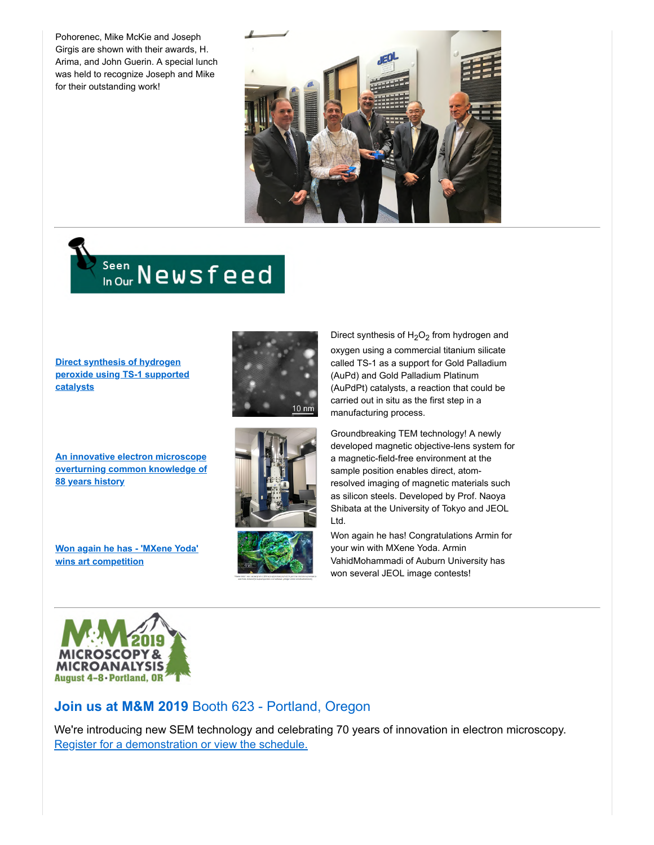Pohorenec, Mike McKie and Joseph Girgis are shown with their awards, H. Arima, and John Guerin. A special lunch was held to recognize Joseph and Mike for their outstanding work!



# Seen Newsfeed

**Direct synthesis of hydrogen [peroxide using TS-1 supported](https://go.jeolusa.com/e/234012/gen-peroxide-ts-catalysts-html/5d3v3h/492683894?h=Z_6vr3Yir99sstbuXny47YcQKLyyztiA_kDnuezYiLM) catalysts**

**An innovative electron microscope [overturning common knowledge of](https://go.jeolusa.com/e/234012/ETrjAcdX1pGln5rIvnnzRZLJS-LxAY/5d3v3k/492683894?h=Z_6vr3Yir99sstbuXny47YcQKLyyztiA_kDnuezYiLM) 88 years history**

**[Won again he has - 'MXene Yoda'](https://go.jeolusa.com/e/234012/PUh6RHBm1jfteGu-Jscn6ZCklI9nmE/5d3v3m/492683894?h=Z_6vr3Yir99sstbuXny47YcQKLyyztiA_kDnuezYiLM) wins art competition**







Direct synthesis of  $\rm H_2O_2$  from hydrogen and oxygen using a commercial titanium silicate called TS-1 as a support for Gold Palladium (AuPd) and Gold Palladium Platinum (AuPdPt) catalysts, a reaction that could be carried out in situ as the first step in a manufacturing process.

Groundbreaking TEM technology! A newly developed magnetic objective-lens system for a magnetic-field-free environment at the sample position enables direct, atomresolved imaging of magnetic materials such as silicon steels. Developed by Prof. Naoya Shibata at the University of Tokyo and JEOL Ltd.

Won again he has! Congratulations Armin for your win with MXene Yoda. Armin VahidMohammadi of Auburn University has won several JEOL image contests!



## **Join us at M&M 2019** Booth 623 - Portland, Oregon

We're introducing new SEM technology and celebrating 70 years of innovation in electron microscopy. [Register for a demonstration or view the schedule.](https://go.jeolusa.com/e/234012/l-234012-2017-06-20-289nq/5d3v3r/492683894?h=Z_6vr3Yir99sstbuXny47YcQKLyyztiA_kDnuezYiLM)